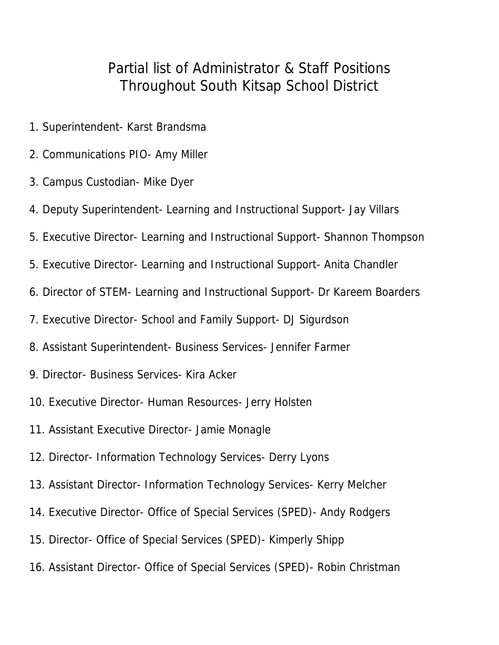## Partial list of Administrator & Staff Positions Throughout South Kitsap School District

- 1. Superintendent- Karst Brandsma
- 2. Communications PIO- Amy Miller
- 3. Campus Custodian- Mike Dyer
- 4. Deputy Superintendent- Learning and Instructional Support- Jay Villars
- 5. Executive Director- Learning and Instructional Support- Shannon Thompson
- 5. Executive Director- Learning and Instructional Support- Anita Chandler
- 6. Director of STEM- Learning and Instructional Support- Dr Kareem Boarders
- 7. Executive Director- School and Family Support- DJ Sigurdson
- 8. Assistant Superintendent- Business Services- Jennifer Farmer
- 9. Director- Business Services- Kira Acker
- 10. Executive Director- Human Resources- Jerry Holsten
- 11. Assistant Executive Director- Jamie Monagle
- 12. Director- Information Technology Services- Derry Lyons
- 13. Assistant Director- Information Technology Services- Kerry Melcher
- 14. Executive Director- Office of Special Services (SPED)- Andy Rodgers
- 15. Director- Office of Special Services (SPED)- Kimperly Shipp
- 16. Assistant Director- Office of Special Services (SPED)- Robin Christman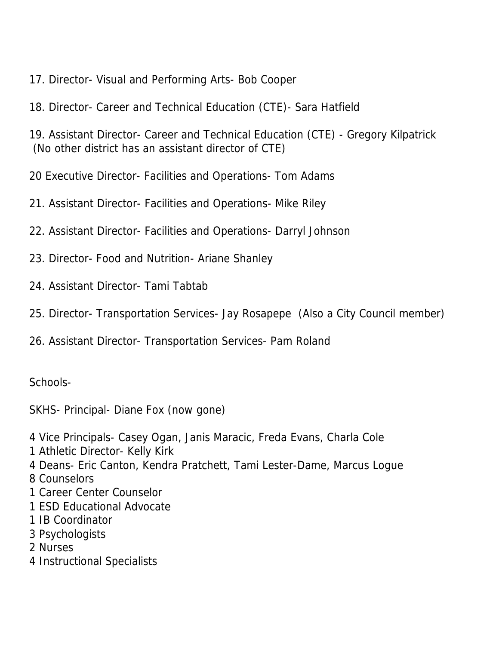- 17. Director- Visual and Performing Arts- Bob Cooper
- 18. Director- Career and Technical Education (CTE)- Sara Hatfield

19. Assistant Director- Career and Technical Education (CTE) - Gregory Kilpatrick (No other district has an assistant director of CTE)

- 20 Executive Director- Facilities and Operations- Tom Adams
- 21. Assistant Director- Facilities and Operations- Mike Riley
- 22. Assistant Director- Facilities and Operations- Darryl Johnson
- 23. Director- Food and Nutrition- Ariane Shanley
- 24. Assistant Director- Tami Tabtab
- 25. Director- Transportation Services- Jay Rosapepe (Also a City Council member)
- 26. Assistant Director- Transportation Services- Pam Roland

Schools-

SKHS- Principal- Diane Fox (now gone)

- 4 Vice Principals- Casey Ogan, Janis Maracic, Freda Evans, Charla Cole
- 1 Athletic Director- Kelly Kirk
- 4 Deans- Eric Canton, Kendra Pratchett, Tami Lester-Dame, Marcus Logue
- 8 Counselors
- 1 Career Center Counselor
- 1 ESD Educational Advocate
- 1 IB Coordinator
- 3 Psychologists
- 2 Nurses
- 4 Instructional Specialists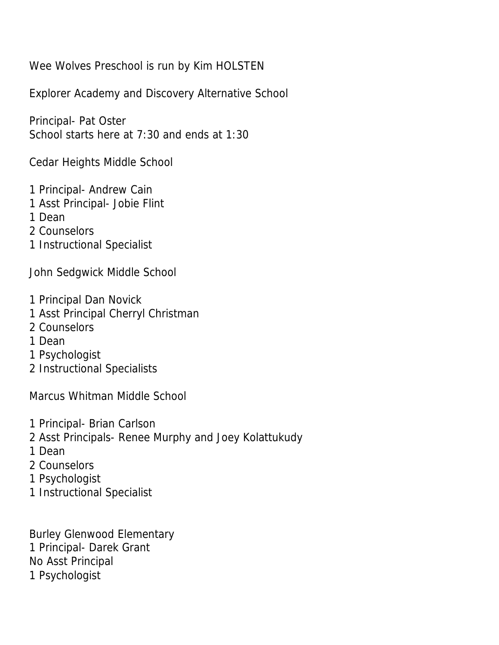Wee Wolves Preschool is run by Kim HOLSTEN

Explorer Academy and Discovery Alternative School

Principal- Pat Oster School starts here at 7:30 and ends at 1:30

Cedar Heights Middle School

- 1 Principal- Andrew Cain
- 1 Asst Principal- Jobie Flint
- 1 Dean
- 2 Counselors
- 1 Instructional Specialist

John Sedgwick Middle School

- 1 Principal Dan Novick
- 1 Asst Principal Cherryl Christman
- 2 Counselors
- 1 Dean
- 1 Psychologist
- 2 Instructional Specialists

Marcus Whitman Middle School

- 1 Principal- Brian Carlson
- 2 Asst Principals- Renee Murphy and Joey Kolattukudy
- 1 Dean
- 2 Counselors
- 1 Psychologist
- 1 Instructional Specialist

Burley Glenwood Elementary 1 Principal- Darek Grant No Asst Principal 1 Psychologist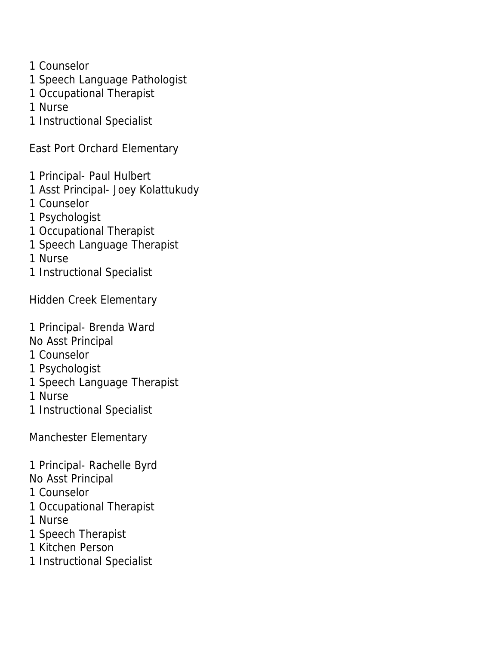1 Counselor

- 1 Speech Language Pathologist
- 1 Occupational Therapist

1 Nurse

1 Instructional Specialist

East Port Orchard Elementary

- 1 Principal- Paul Hulbert
- 1 Asst Principal- Joey Kolattukudy
- 1 Counselor
- 1 Psychologist
- 1 Occupational Therapist
- 1 Speech Language Therapist

1 Nurse

1 Instructional Specialist

Hidden Creek Elementary

1 Principal- Brenda Ward

No Asst Principal

1 Counselor

- 1 Psychologist
- 1 Speech Language Therapist

1 Nurse

1 Instructional Specialist

Manchester Elementary

1 Principal- Rachelle Byrd

No Asst Principal

1 Counselor

1 Occupational Therapist

1 Nurse

- 1 Speech Therapist
- 1 Kitchen Person

1 Instructional Specialist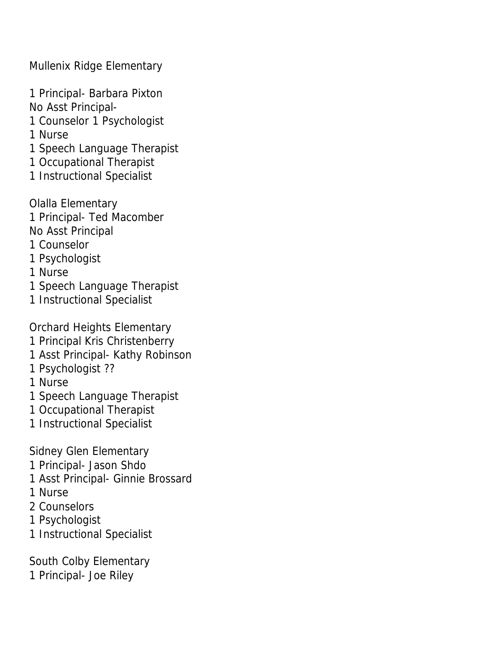Mullenix Ridge Elementary

1 Principal- Barbara Pixton No Asst Principal-

1 Counselor 1 Psychologist

1 Nurse

1 Speech Language Therapist

1 Occupational Therapist

1 Instructional Specialist

Olalla Elementary 1 Principal- Ted Macomber No Asst Principal

1 Counselor

1 Psychologist

1 Nurse

1 Speech Language Therapist

1 Instructional Specialist

Orchard Heights Elementary 1 Principal Kris Christenberry 1 Asst Principal- Kathy Robinson 1 Psychologist ?? 1 Nurse 1 Speech Language Therapist 1 Occupational Therapist 1 Instructional Specialist Sidney Glen Elementary

1 Principal- Jason Shdo

1 Asst Principal- Ginnie Brossard

1 Nurse

2 Counselors

1 Psychologist

1 Instructional Specialist

South Colby Elementary 1 Principal- Joe Riley